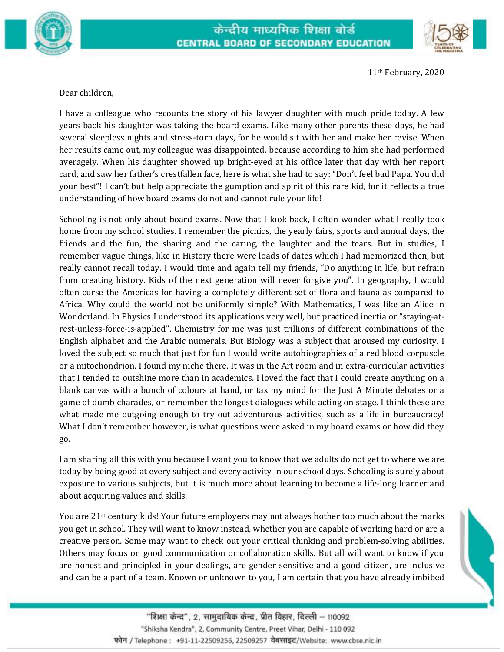



11th February, 2020

Dear children,

I have a colleague who recounts the story of his lawyer daughter with much pride today. A few years back his daughter was taking the board exams. Like many other parents these days, he had several sleepless nights and stress-torn days, for he would sit with her and make her revise. When her results came out, my colleague was disappointed, because according to him she had performed averagely. When his daughter showed up bright-eyed at his office later that day with her report card, and saw her father's crestfallen face, here is what she had to say: "Don't feel bad Papa. You did your best"! I can't but help appreciate the gumption and spirit of this rare kid, for it reflects a true understanding of how board exams do not and cannot rule your life!

Schooling is not only about board exams. Now that I look back, I often wonder what I really took home from my school studies. I remember the picnics, the yearly fairs, sports and annual days, the friends and the fun, the sharing and the caring, the laughter and the tears. But in studies, I remember vague things, like in History there were loads of dates which I had memorized then, but really cannot recall today. I would time and again tell my friends, "Do anything in life, but refrain from creating history. Kids of the next generation will never forgive you". In geography, I would often curse the Americas for having a completely different set of flora and fauna as compared to Africa. Why could the world not be uniformly simple? With Mathematics, I was like an Alice in Wonderland. In Physics I understood its applications very well, but practiced inertia or "staying-atrest-unless-force-is-applied". Chemistry for me was just trillions of different combinations of the English alphabet and the Arabic numerals. But Biology was a subject that aroused my curiosity. I loved the subject so much that just for fun I would write autobiographies of a red blood corpuscle or a mitochondrion. I found my niche there. It was in the Art room and in extra-curricular activities that I tended to outshine more than in academics. I loved the fact that I could create anything on a blank canvas with a bunch of colours at hand, or tax my mind for the Just A Minute debates or a game of dumb charades, or remember the longest dialogues while acting on stage. I think these are what made me outgoing enough to try out adventurous activities, such as a life in bureaucracy! What I don't remember however, is what questions were asked in my board exams or how did they go.

I am sharing all this with you because I want you to know that we adults do not get to where we are today by being good at every subject and every activity in our school days. Schooling is surely about exposure to various subjects, but it is much more about learning to become a life-long learner and about acquiring values and skills.

You are  $21$ <sup>st</sup> century kids! Your future employers may not always bother too much about the marks you get in school. They will want to know instead, whether you are capable of working hard or are a creative person. Some may want to check out your critical thinking and problem-solving abilities. Others may focus on good communication or collaboration skills. But all will want to know if you are honest and principled in your dealings, are gender sensitive and a good citizen, are inclusive and can be a part of a team. Known or unknown to you, I am certain that you have already imbibed



"शिक्षा केन्द्र", 2, सामुदायिक केन्द्र, प्रीत विहार, दिल्ली – 110092 "Shiksha Kendra", 2, Community Centre, Preet Vihar, Delhi - 110 092 फोन / Telephone : +91-11-22509256, 22509257 वेबसाइट/Website: www.cbse.nic.in